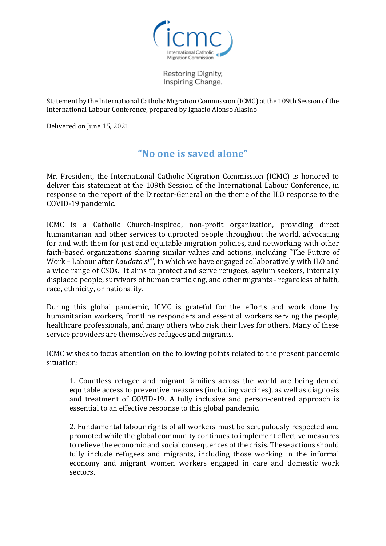

Restoring Dignity, Inspiring Change.

Statement by the International Catholic Migration Commission (ICMC) at the 109th Session of the International Labour Conference, prepared by Ignacio Alonso Alasino.

Delivered on June 15, 2021

## **"No one is saved alone"**

Mr. President, the International Catholic Migration Commission (ICMC) is honored to deliver this statement at the 109th Session of the International Labour Conference, in response to the report of the Director-General on the theme of the ILO response to the COVID-19 pandemic.

ICMC is a Catholic Church-inspired, non-profit organization, providing direct humanitarian and other services to uprooted people throughout the world, advocating for and with them for just and equitable migration policies, and networking with other faith-based organizations sharing similar values and actions, including "The Future of Work – Labour after *Laudato si'*", in which we have engaged collaboratively with ILO and a wide range of CSOs. It aims to protect and serve refugees, asylum seekers, internally displaced people, survivors of human trafficking, and other migrants - regardless of faith, race, ethnicity, or nationality.

During this global pandemic, ICMC is grateful for the efforts and work done by humanitarian workers, frontline responders and essential workers serving the people, healthcare professionals, and many others who risk their lives for others. Many of these service providers are themselves refugees and migrants.

ICMC wishes to focus attention on the following points related to the present pandemic situation:

1. Countless refugee and migrant families across the world are being denied equitable access to preventive measures (including vaccines), as well as diagnosis and treatment of COVID-19. A fully inclusive and person-centred approach is essential to an effective response to this global pandemic.

2. Fundamental labour rights of all workers must be scrupulously respected and promoted while the global community continues to implement effective measures to relieve the economic and social consequences of the crisis. These actions should fully include refugees and migrants, including those working in the informal economy and migrant women workers engaged in care and domestic work sectors.